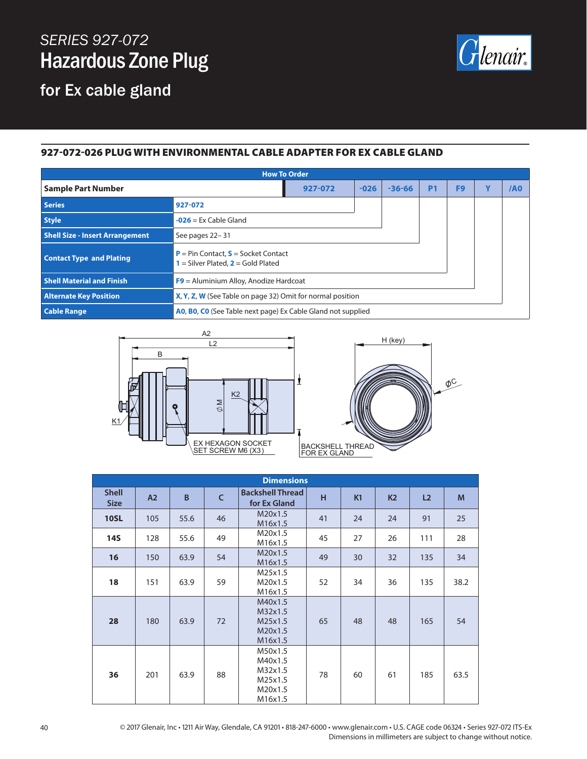## *SERIES 927-072* Hazardous Zone Plug

lenair.

## for Ex cable gland

## 927-072-026 PLUG WITH ENVIRONMENTAL CABLE ADAPTER FOR EX CABLE GLAND

| <b>How To Order</b>                    |                                                                                        |        |          |           |                |   |     |  |
|----------------------------------------|----------------------------------------------------------------------------------------|--------|----------|-----------|----------------|---|-----|--|
| <b>Sample Part Number</b>              | 927-072                                                                                | $-026$ | $-36-66$ | <b>P1</b> | F <sub>9</sub> | Y | /A0 |  |
| <b>Series</b>                          | 927-072                                                                                |        |          |           |                |   |     |  |
| <b>Style</b>                           | $-026$ = Ex Cable Gland                                                                |        |          |           |                |   |     |  |
| <b>Shell Size - Insert Arrangement</b> | See pages 22-31                                                                        |        |          |           |                |   |     |  |
| <b>Contact Type and Plating</b>        | <b>P</b> = Pin Contact, $S$ = Socket Contact<br>$1 =$ Silver Plated, $2 =$ Gold Plated |        |          |           |                |   |     |  |
| <b>Shell Material and Finish</b>       | $F9$ = Aluminium Alloy, Anodize Hardcoat                                               |        |          |           |                |   |     |  |
| <b>Alternate Key Position</b>          | X, Y, Z, W (See Table on page 32) Omit for normal position                             |        |          |           |                |   |     |  |
| <b>Cable Range</b>                     | AO, BO, CO (See Table next page) Ex Cable Gland not supplied                           |        |          |           |                |   |     |  |





| <b>Dimensions</b>           |     |      |              |                                                                |    |                |                |                |      |
|-----------------------------|-----|------|--------------|----------------------------------------------------------------|----|----------------|----------------|----------------|------|
| <b>Shell</b><br><b>Size</b> | A2  | B    | $\mathsf{C}$ | <b>Backshell Thread</b><br>for Ex Gland                        | H  | K <sub>1</sub> | K <sub>2</sub> | L <sub>2</sub> | M    |
| <b>10SL</b>                 | 105 | 55.6 | 46           | M20x1.5<br>M16x1.5                                             | 41 | 24             | 24             | 91             | 25   |
| <b>14S</b>                  | 128 | 55.6 | 49           | M20x1.5<br>M16x1.5                                             | 45 | 27             | 26             | 111            | 28   |
| 16                          | 150 | 63.9 | 54           | M20x1.5<br>M16x1.5                                             | 49 | 30             | 32             | 135            | 34   |
| 18                          | 151 | 63.9 | 59           | M25x1.5<br>M20x1.5<br>M16x1.5                                  | 52 | 34             | 36             | 135            | 38.2 |
| 28                          | 180 | 63.9 | 72           | M40x1.5<br>M32x1.5<br>M25x1.5<br>M20x1.5<br>M16x1.5            | 65 | 48             | 48             | 165            | 54   |
| 36                          | 201 | 63.9 | 88           | M50x1.5<br>M40x1.5<br>M32x1.5<br>M25x1.5<br>M20x1.5<br>M16x1.5 | 78 | 60             | 61             | 185            | 63.5 |

40 © 2017 Glenair, Inc • 1211 Air Way, Glendale, CA 91201 • 818-247-6000 • www.glenair.com • U.S. CAGE code 06324 • Series 927-072 ITS-Ex Dimensions in millimeters are subject to change without notice.